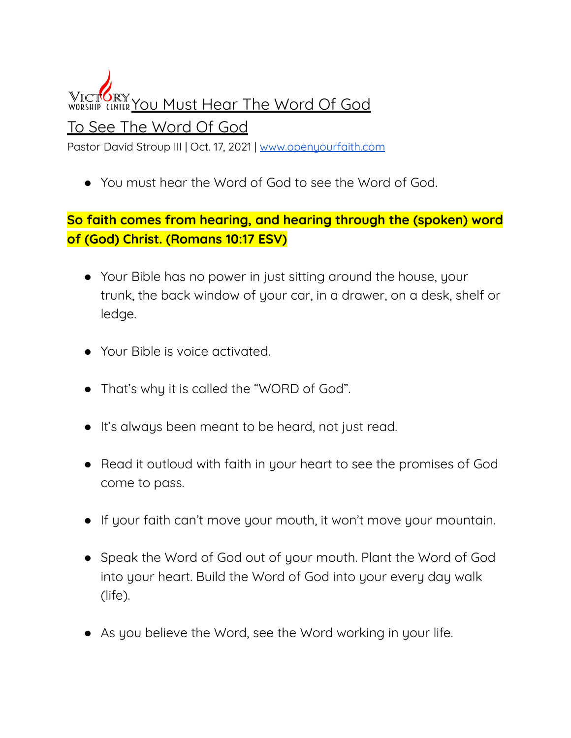**VICTORY YOU MUST Hear The Word Of God** To See The Word Of God Pastor David Stroup III | Oct. 17, 2021 | [www.openyourfaith.com](http://www.openyourfaith.com)

● You must hear the Word of God to see the Word of God.

## **So faith comes from hearing, and hearing through the (spoken) word of (God) Christ. (Romans 10:17 ESV)**

- Your Bible has no power in just sitting around the house, your trunk, the back window of your car, in a drawer, on a desk, shelf or ledge.
- Your Bible is voice activated.
- That's why it is called the "WORD of God".
- It's always been meant to be heard, not just read.
- Read it outloud with faith in your heart to see the promises of God come to pass.
- If your faith can't move your mouth, it won't move your mountain.
- Speak the Word of God out of your mouth. Plant the Word of God into your heart. Build the Word of God into your every day walk (life).
- As you believe the Word, see the Word working in your life.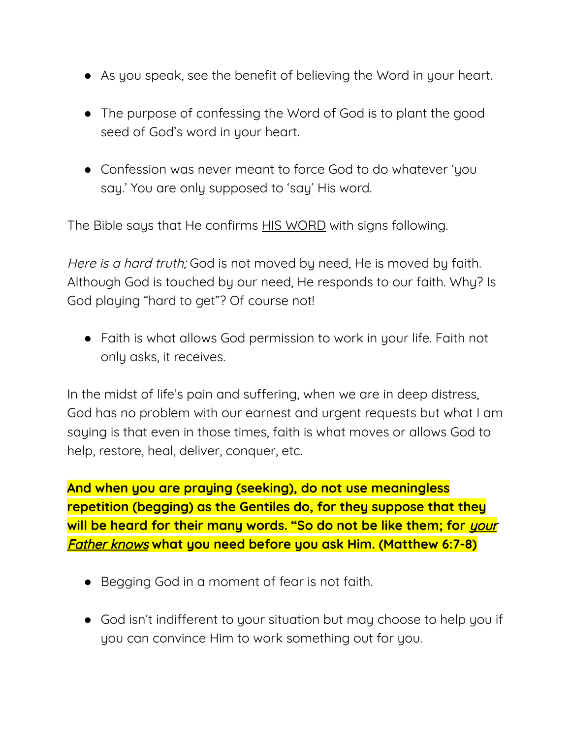- As you speak, see the benefit of believing the Word in your heart.
- The purpose of confessing the Word of God is to plant the good seed of God's word in your heart.
- Confession was never meant to force God to do whatever 'you say.' You are only supposed to 'say' His word.

The Bible says that He confirms HIS WORD with signs following.

Here is a hard truth; God is not moved by need, He is moved by faith. Although God is touched by our need, He responds to our faith. Why? Is God playing "hard to get"? Of course not!

● Faith is what allows God permission to work in your life. Faith not only asks, it receives.

In the midst of life's pain and suffering, when we are in deep distress, God has no problem with our earnest and urgent requests but what I am saying is that even in those times, faith is what moves or allows God to help, restore, heal, deliver, conquer, etc.

**And when you are praying (seeking), do not use meaningless repetition (begging) as the Gentiles do, for they suppose that they will be heard for their many words. "So do not be like them; for** your Father knows **what you need before you ask Him. (Matthew 6:7-8)**

- Begging God in a moment of fear is not faith.
- God isn't indifferent to your situation but may choose to help you if you can convince Him to work something out for you.